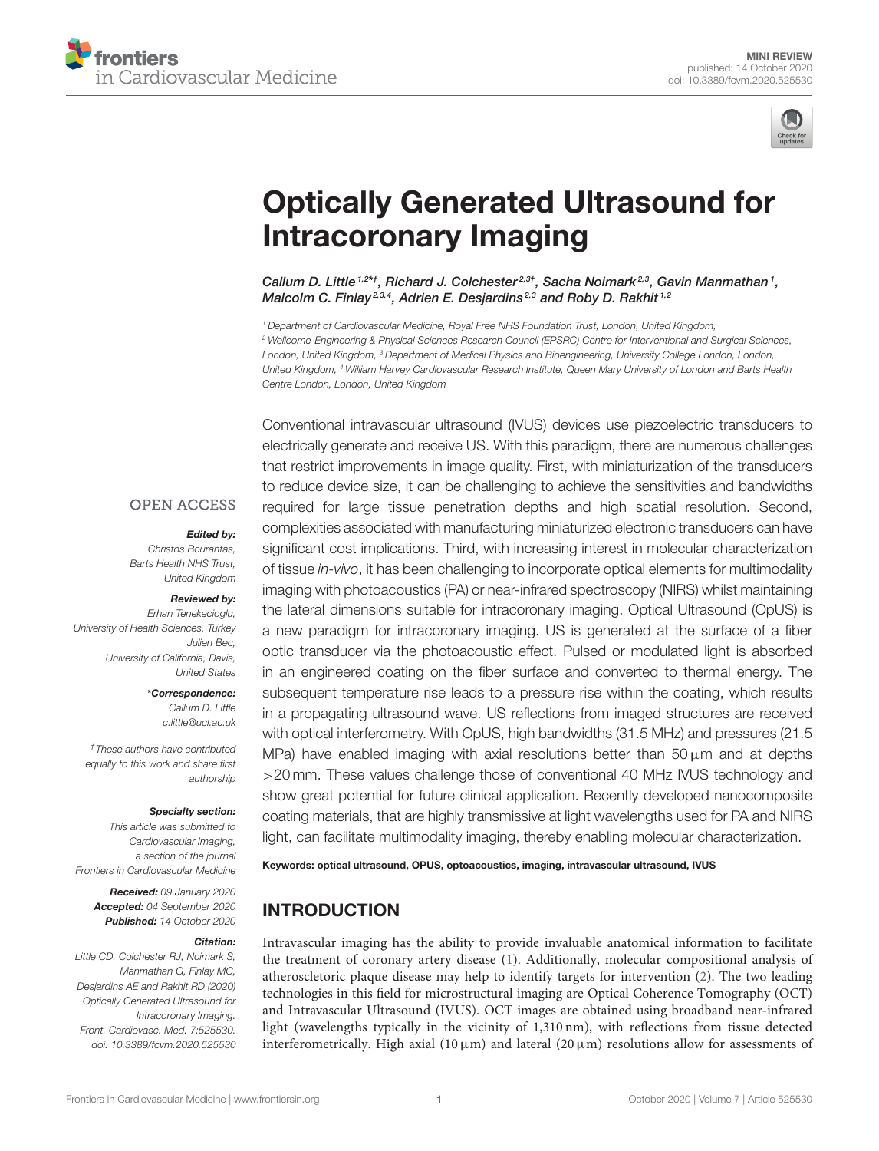



# [Optically Generated Ultrasound for](https://www.frontiersin.org/articles/10.3389/fcvm.2020.525530/full) Intracoronary Imaging

Callum D. Little<sup>1,2\*†</sup>, Richard J. Colchester<sup>2,3†</sup>, Sacha Noimark<sup>2,3</sup>, Gavin Manmathan<sup>1</sup>, Malcolm C. Finlay<sup>2,3,4</sup>, Adrien E. Desjardins<sup>2,3</sup> and Roby D. Rakhit<sup>1,2</sup>

*<sup>1</sup> Department of Cardiovascular Medicine, Royal Free NHS Foundation Trust, London, United Kingdom, <sup>2</sup> Wellcome-Engineering & Physical Sciences Research Council (EPSRC) Centre for Interventional and Surgical Sciences, London, United Kingdom, <sup>3</sup> Department of Medical Physics and Bioengineering, University College London, London, United Kingdom, <sup>4</sup> William Harvey Cardiovascular Research Institute, Queen Mary University of London and Barts Health Centre London, London, United Kingdom*

#### **OPEN ACCESS**

#### Edited by:

*Christos Bourantas, Barts Health NHS Trust, United Kingdom*

#### Reviewed by:

*Erhan Tenekecioglu, University of Health Sciences, Turkey Julien Bec, University of California, Davis, United States*

> \*Correspondence: *Callum D. Little [c.little@ucl.ac.uk](mailto:c.little@ucl.ac.uk)*

*†These authors have contributed equally to this work and share first authorship*

#### Specialty section:

*This article was submitted to Cardiovascular Imaging, a section of the journal Frontiers in Cardiovascular Medicine*

Received: *09 January 2020* Accepted: *04 September 2020* Published: *14 October 2020*

#### Citation:

*Little CD, Colchester RJ, Noimark S, Manmathan G, Finlay MC, Desjardins AE and Rakhit RD (2020) Optically Generated Ultrasound for Intracoronary Imaging. Front. Cardiovasc. Med. 7:525530. doi: [10.3389/fcvm.2020.525530](https://doi.org/10.3389/fcvm.2020.525530)* Conventional intravascular ultrasound (IVUS) devices use piezoelectric transducers to electrically generate and receive US. With this paradigm, there are numerous challenges that restrict improvements in image quality. First, with miniaturization of the transducers to reduce device size, it can be challenging to achieve the sensitivities and bandwidths required for large tissue penetration depths and high spatial resolution. Second, complexities associated with manufacturing miniaturized electronic transducers can have significant cost implications. Third, with increasing interest in molecular characterization of tissue *in-vivo*, it has been challenging to incorporate optical elements for multimodality imaging with photoacoustics (PA) or near-infrared spectroscopy (NIRS) whilst maintaining the lateral dimensions suitable for intracoronary imaging. Optical Ultrasound (OpUS) is a new paradigm for intracoronary imaging. US is generated at the surface of a fiber optic transducer via the photoacoustic effect. Pulsed or modulated light is absorbed in an engineered coating on the fiber surface and converted to thermal energy. The subsequent temperature rise leads to a pressure rise within the coating, which results in a propagating ultrasound wave. US reflections from imaged structures are received with optical interferometry. With OpUS, high bandwidths (31.5 MHz) and pressures (21.5 MPa) have enabled imaging with axial resolutions better than  $50 \,\mu m$  and at depths >20 mm. These values challenge those of conventional 40 MHz IVUS technology and show great potential for future clinical application. Recently developed nanocomposite coating materials, that are highly transmissive at light wavelengths used for PA and NIRS light, can facilitate multimodality imaging, thereby enabling molecular characterization.

Keywords: optical ultrasound, OPUS, optoacoustics, imaging, intravascular ultrasound, IVUS

# INTRODUCTION

Intravascular imaging has the ability to provide invaluable anatomical information to facilitate the treatment of coronary artery disease [\(1\)](#page-4-0). Additionally, molecular compositional analysis of atheroscletoric plaque disease may help to identify targets for intervention [\(2\)](#page-4-1). The two leading technologies in this field for microstructural imaging are Optical Coherence Tomography (OCT) and Intravascular Ultrasound (IVUS). OCT images are obtained using broadband near-infrared light (wavelengths typically in the vicinity of 1,310 nm), with reflections from tissue detected interferometrically. High axial (10  $\mu$ m) and lateral (20  $\mu$ m) resolutions allow for assessments of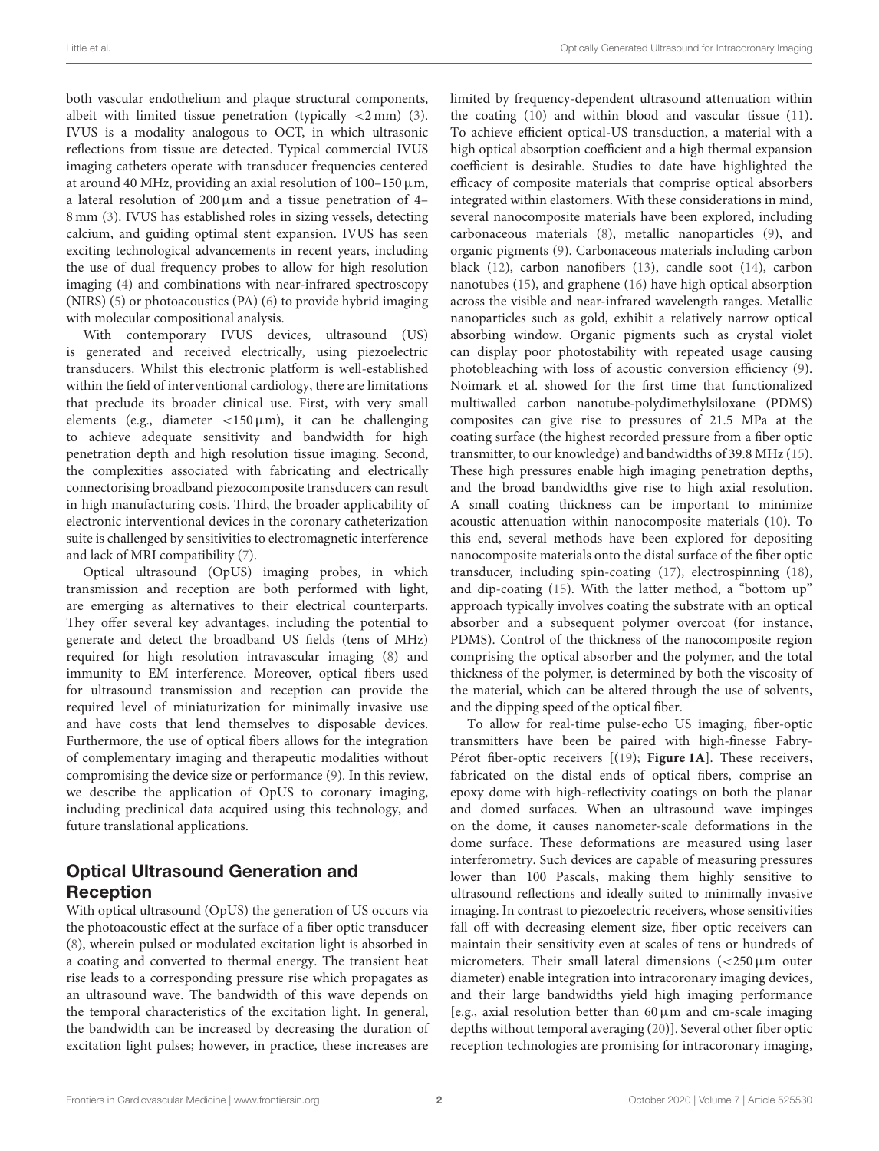both vascular endothelium and plaque structural components, albeit with limited tissue penetration (typically  $\langle 2 \text{ mm} \rangle$  [\(3\)](#page-4-2). IVUS is a modality analogous to OCT, in which ultrasonic reflections from tissue are detected. Typical commercial IVUS imaging catheters operate with transducer frequencies centered at around 40 MHz, providing an axial resolution of  $100-150 \,\mu m$ , a lateral resolution of  $200 \mu m$  and a tissue penetration of 4– 8 mm [\(3\)](#page-4-2). IVUS has established roles in sizing vessels, detecting calcium, and guiding optimal stent expansion. IVUS has seen exciting technological advancements in recent years, including the use of dual frequency probes to allow for high resolution imaging [\(4\)](#page-4-3) and combinations with near-infrared spectroscopy (NIRS) [\(5\)](#page-4-4) or photoacoustics (PA) [\(6\)](#page-4-5) to provide hybrid imaging with molecular compositional analysis.

With contemporary IVUS devices, ultrasound (US) is generated and received electrically, using piezoelectric transducers. Whilst this electronic platform is well-established within the field of interventional cardiology, there are limitations that preclude its broader clinical use. First, with very small elements (e.g., diameter  $\lt 150 \,\mu\text{m}$ ), it can be challenging to achieve adequate sensitivity and bandwidth for high penetration depth and high resolution tissue imaging. Second, the complexities associated with fabricating and electrically connectorising broadband piezocomposite transducers can result in high manufacturing costs. Third, the broader applicability of electronic interventional devices in the coronary catheterization suite is challenged by sensitivities to electromagnetic interference and lack of MRI compatibility [\(7\)](#page-4-6).

Optical ultrasound (OpUS) imaging probes, in which transmission and reception are both performed with light, are emerging as alternatives to their electrical counterparts. They offer several key advantages, including the potential to generate and detect the broadband US fields (tens of MHz) required for high resolution intravascular imaging [\(8\)](#page-4-7) and immunity to EM interference. Moreover, optical fibers used for ultrasound transmission and reception can provide the required level of miniaturization for minimally invasive use and have costs that lend themselves to disposable devices. Furthermore, the use of optical fibers allows for the integration of complementary imaging and therapeutic modalities without compromising the device size or performance [\(9\)](#page-4-8). In this review, we describe the application of OpUS to coronary imaging, including preclinical data acquired using this technology, and future translational applications.

### Optical Ultrasound Generation and Reception

With optical ultrasound (OpUS) the generation of US occurs via the photoacoustic effect at the surface of a fiber optic transducer [\(8\)](#page-4-7), wherein pulsed or modulated excitation light is absorbed in a coating and converted to thermal energy. The transient heat rise leads to a corresponding pressure rise which propagates as an ultrasound wave. The bandwidth of this wave depends on the temporal characteristics of the excitation light. In general, the bandwidth can be increased by decreasing the duration of excitation light pulses; however, in practice, these increases are limited by frequency-dependent ultrasound attenuation within the coating [\(10\)](#page-4-9) and within blood and vascular tissue [\(11\)](#page-4-10). To achieve efficient optical-US transduction, a material with a high optical absorption coefficient and a high thermal expansion coefficient is desirable. Studies to date have highlighted the efficacy of composite materials that comprise optical absorbers integrated within elastomers. With these considerations in mind, several nanocomposite materials have been explored, including carbonaceous materials [\(8\)](#page-4-7), metallic nanoparticles [\(9\)](#page-4-8), and organic pigments [\(9\)](#page-4-8). Carbonaceous materials including carbon black [\(12\)](#page-4-11), carbon nanofibers [\(13\)](#page-4-12), candle soot [\(14\)](#page-4-13), carbon nanotubes [\(15\)](#page-4-14), and graphene [\(16\)](#page-4-15) have high optical absorption across the visible and near-infrared wavelength ranges. Metallic nanoparticles such as gold, exhibit a relatively narrow optical absorbing window. Organic pigments such as crystal violet can display poor photostability with repeated usage causing photobleaching with loss of acoustic conversion efficiency [\(9\)](#page-4-8). Noimark et al. showed for the first time that functionalized multiwalled carbon nanotube-polydimethylsiloxane (PDMS) composites can give rise to pressures of 21.5 MPa at the coating surface (the highest recorded pressure from a fiber optic transmitter, to our knowledge) and bandwidths of 39.8 MHz [\(15\)](#page-4-14). These high pressures enable high imaging penetration depths, and the broad bandwidths give rise to high axial resolution. A small coating thickness can be important to minimize acoustic attenuation within nanocomposite materials [\(10\)](#page-4-9). To this end, several methods have been explored for depositing nanocomposite materials onto the distal surface of the fiber optic transducer, including spin-coating [\(17\)](#page-4-16), electrospinning [\(18\)](#page-4-17), and dip-coating [\(15\)](#page-4-14). With the latter method, a "bottom up" approach typically involves coating the substrate with an optical absorber and a subsequent polymer overcoat (for instance, PDMS). Control of the thickness of the nanocomposite region comprising the optical absorber and the polymer, and the total thickness of the polymer, is determined by both the viscosity of the material, which can be altered through the use of solvents, and the dipping speed of the optical fiber.

To allow for real-time pulse-echo US imaging, fiber-optic transmitters have been be paired with high-finesse Fabry-Pérot fiber-optic receivers [[\(19\)](#page-4-18); **[Figure 1A](#page-2-0)**]. These receivers, fabricated on the distal ends of optical fibers, comprise an epoxy dome with high-reflectivity coatings on both the planar and domed surfaces. When an ultrasound wave impinges on the dome, it causes nanometer-scale deformations in the dome surface. These deformations are measured using laser interferometry. Such devices are capable of measuring pressures lower than 100 Pascals, making them highly sensitive to ultrasound reflections and ideally suited to minimally invasive imaging. In contrast to piezoelectric receivers, whose sensitivities fall off with decreasing element size, fiber optic receivers can maintain their sensitivity even at scales of tens or hundreds of micrometers. Their small lateral dimensions  $\left( < 250 \mu \mathrm{m} \right)$  outer diameter) enable integration into intracoronary imaging devices, and their large bandwidths yield high imaging performance [e.g., axial resolution better than  $60 \mu m$  and cm-scale imaging depths without temporal averaging [\(20\)](#page-4-19)]. Several other fiber optic reception technologies are promising for intracoronary imaging,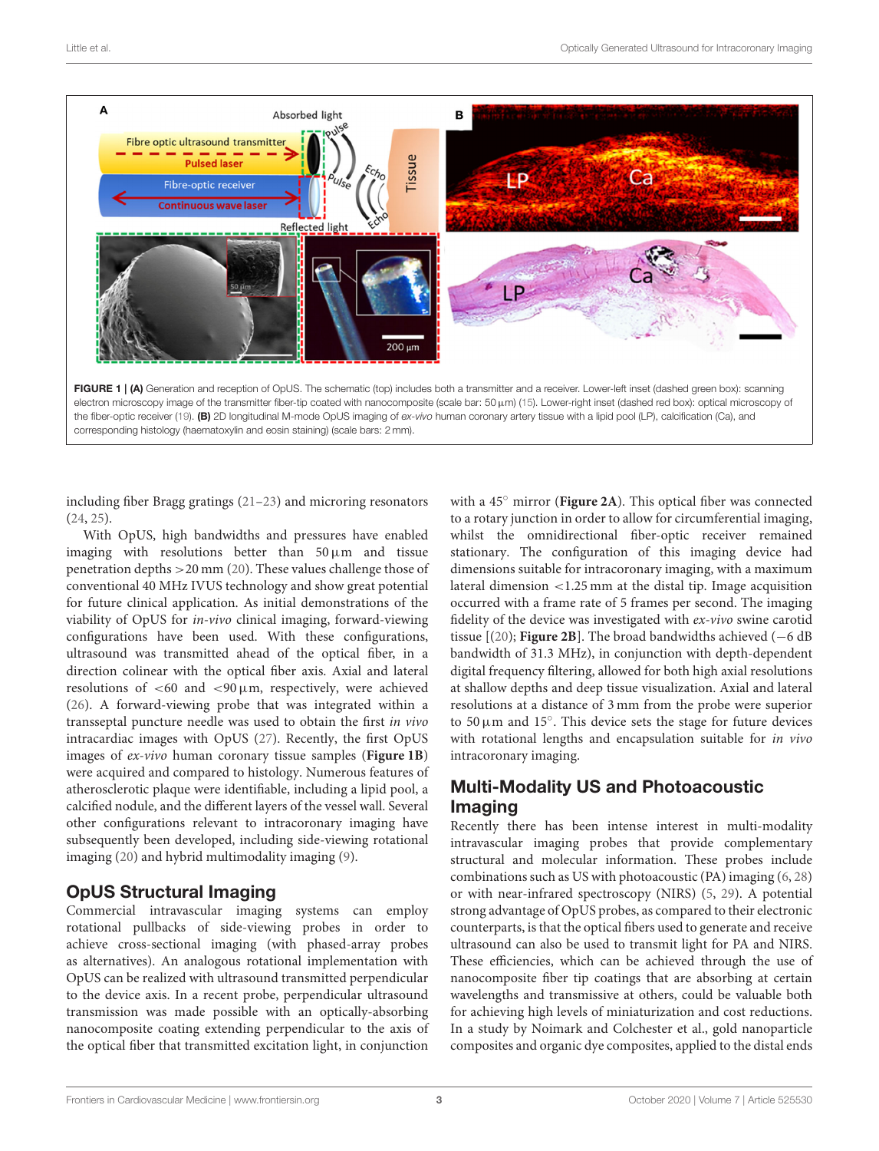

<span id="page-2-0"></span>including fiber Bragg gratings [\(21](#page-4-20)[–23\)](#page-4-21) and microring resonators [\(24,](#page-4-22) [25\)](#page-4-23).

With OpUS, high bandwidths and pressures have enabled imaging with resolutions better than  $50 \mu m$  and tissue penetration depths >20 mm [\(20\)](#page-4-19). These values challenge those of conventional 40 MHz IVUS technology and show great potential for future clinical application. As initial demonstrations of the viability of OpUS for in-vivo clinical imaging, forward-viewing configurations have been used. With these configurations, ultrasound was transmitted ahead of the optical fiber, in a direction colinear with the optical fiber axis. Axial and lateral resolutions of  $<$  60 and  $<$  90  $\mu$ m, respectively, were achieved [\(26\)](#page-4-24). A forward-viewing probe that was integrated within a transseptal puncture needle was used to obtain the first in vivo intracardiac images with OpUS [\(27\)](#page-4-25). Recently, the first OpUS images of ex-vivo human coronary tissue samples (**[Figure 1B](#page-2-0)**) were acquired and compared to histology. Numerous features of atherosclerotic plaque were identifiable, including a lipid pool, a calcified nodule, and the different layers of the vessel wall. Several other configurations relevant to intracoronary imaging have subsequently been developed, including side-viewing rotational imaging [\(20\)](#page-4-19) and hybrid multimodality imaging [\(9\)](#page-4-8).

# OpUS Structural Imaging

Commercial intravascular imaging systems can employ rotational pullbacks of side-viewing probes in order to achieve cross-sectional imaging (with phased-array probes as alternatives). An analogous rotational implementation with OpUS can be realized with ultrasound transmitted perpendicular to the device axis. In a recent probe, perpendicular ultrasound transmission was made possible with an optically-absorbing nanocomposite coating extending perpendicular to the axis of the optical fiber that transmitted excitation light, in conjunction with a 45◦ mirror (**[Figure 2A](#page-3-0)**). This optical fiber was connected to a rotary junction in order to allow for circumferential imaging, whilst the omnidirectional fiber-optic receiver remained stationary. The configuration of this imaging device had dimensions suitable for intracoronary imaging, with a maximum lateral dimension <1.25 mm at the distal tip. Image acquisition occurred with a frame rate of 5 frames per second. The imaging fidelity of the device was investigated with ex-vivo swine carotid tissue  $[(20)$  $[(20)$ ; **[Figure 2B](#page-3-0)**]. The broad bandwidths achieved  $(-6$  dB bandwidth of 31.3 MHz), in conjunction with depth-dependent digital frequency filtering, allowed for both high axial resolutions at shallow depths and deep tissue visualization. Axial and lateral resolutions at a distance of 3 mm from the probe were superior to 50  $\mu$ m and 15°. This device sets the stage for future devices with rotational lengths and encapsulation suitable for in vivo intracoronary imaging.

# Multi-Modality US and Photoacoustic Imaging

Recently there has been intense interest in multi-modality intravascular imaging probes that provide complementary structural and molecular information. These probes include combinations such as US with photoacoustic (PA) imaging [\(6,](#page-4-5) [28\)](#page-4-26) or with near-infrared spectroscopy (NIRS) [\(5,](#page-4-4) [29\)](#page-4-27). A potential strong advantage of OpUS probes, as compared to their electronic counterparts, is that the optical fibers used to generate and receive ultrasound can also be used to transmit light for PA and NIRS. These efficiencies, which can be achieved through the use of nanocomposite fiber tip coatings that are absorbing at certain wavelengths and transmissive at others, could be valuable both for achieving high levels of miniaturization and cost reductions. In a study by Noimark and Colchester et al., gold nanoparticle composites and organic dye composites, applied to the distal ends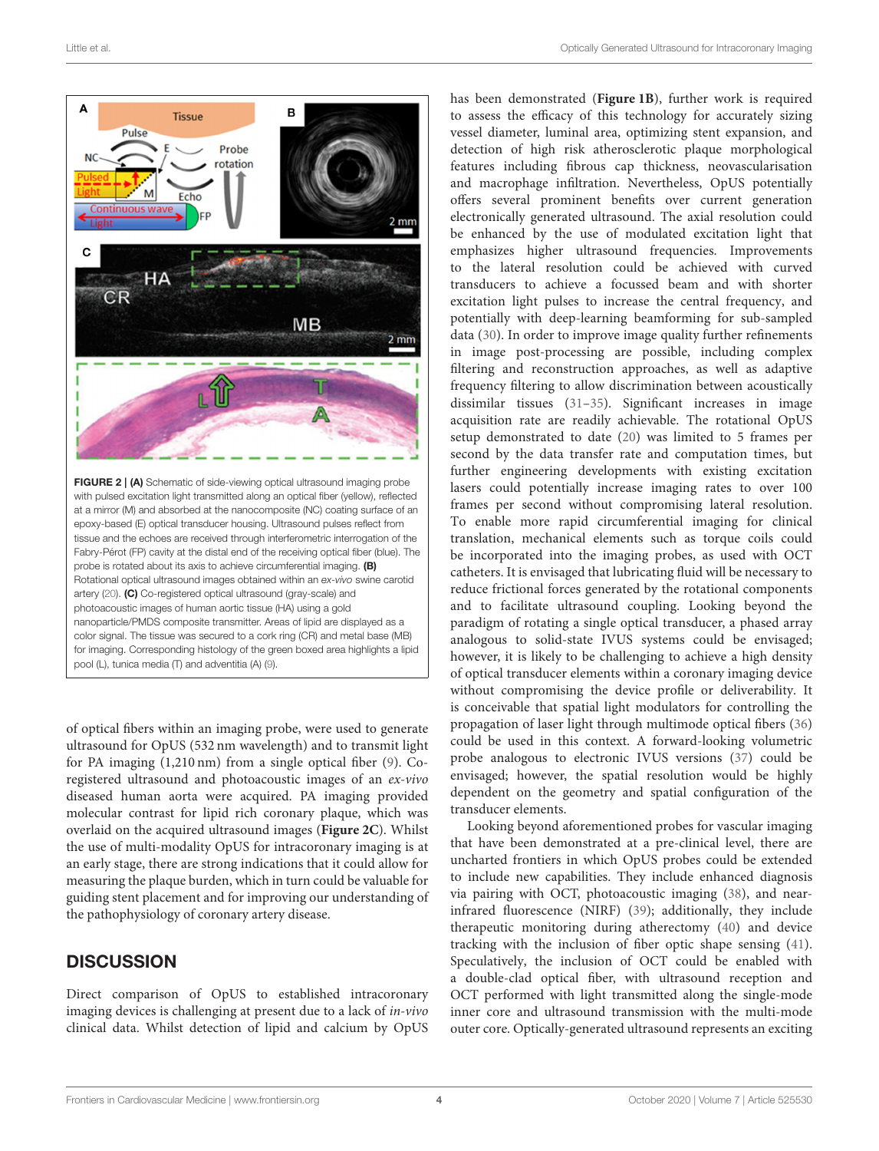

<span id="page-3-0"></span>of optical fibers within an imaging probe, were used to generate ultrasound for OpUS (532 nm wavelength) and to transmit light for PA imaging (1,210 nm) from a single optical fiber [\(9\)](#page-4-8). Coregistered ultrasound and photoacoustic images of an ex-vivo diseased human aorta were acquired. PA imaging provided molecular contrast for lipid rich coronary plaque, which was overlaid on the acquired ultrasound images (**[Figure 2C](#page-3-0)**). Whilst the use of multi-modality OpUS for intracoronary imaging is at an early stage, there are strong indications that it could allow for measuring the plaque burden, which in turn could be valuable for guiding stent placement and for improving our understanding of the pathophysiology of coronary artery disease.

### **DISCUSSION**

Direct comparison of OpUS to established intracoronary imaging devices is challenging at present due to a lack of in-vivo clinical data. Whilst detection of lipid and calcium by OpUS

has been demonstrated (**[Figure 1B](#page-2-0)**), further work is required to assess the efficacy of this technology for accurately sizing vessel diameter, luminal area, optimizing stent expansion, and detection of high risk atherosclerotic plaque morphological features including fibrous cap thickness, neovascularisation and macrophage infiltration. Nevertheless, OpUS potentially offers several prominent benefits over current generation electronically generated ultrasound. The axial resolution could be enhanced by the use of modulated excitation light that emphasizes higher ultrasound frequencies. Improvements to the lateral resolution could be achieved with curved transducers to achieve a focussed beam and with shorter excitation light pulses to increase the central frequency, and potentially with deep-learning beamforming for sub-sampled data [\(30\)](#page-5-0). In order to improve image quality further refinements in image post-processing are possible, including complex filtering and reconstruction approaches, as well as adaptive frequency filtering to allow discrimination between acoustically dissimilar tissues [\(31–](#page-5-1)[35\)](#page-5-2). Significant increases in image acquisition rate are readily achievable. The rotational OpUS setup demonstrated to date [\(20\)](#page-4-19) was limited to 5 frames per second by the data transfer rate and computation times, but further engineering developments with existing excitation lasers could potentially increase imaging rates to over 100 frames per second without compromising lateral resolution. To enable more rapid circumferential imaging for clinical translation, mechanical elements such as torque coils could be incorporated into the imaging probes, as used with OCT catheters. It is envisaged that lubricating fluid will be necessary to reduce frictional forces generated by the rotational components and to facilitate ultrasound coupling. Looking beyond the paradigm of rotating a single optical transducer, a phased array analogous to solid-state IVUS systems could be envisaged; however, it is likely to be challenging to achieve a high density of optical transducer elements within a coronary imaging device without compromising the device profile or deliverability. It is conceivable that spatial light modulators for controlling the propagation of laser light through multimode optical fibers [\(36\)](#page-5-3) could be used in this context. A forward-looking volumetric probe analogous to electronic IVUS versions [\(37\)](#page-5-4) could be envisaged; however, the spatial resolution would be highly dependent on the geometry and spatial configuration of the transducer elements.

Looking beyond aforementioned probes for vascular imaging that have been demonstrated at a pre-clinical level, there are uncharted frontiers in which OpUS probes could be extended to include new capabilities. They include enhanced diagnosis via pairing with OCT, photoacoustic imaging [\(38\)](#page-5-5), and nearinfrared fluorescence (NIRF) [\(39\)](#page-5-6); additionally, they include therapeutic monitoring during atherectomy [\(40\)](#page-5-7) and device tracking with the inclusion of fiber optic shape sensing [\(41\)](#page-5-8). Speculatively, the inclusion of OCT could be enabled with a double-clad optical fiber, with ultrasound reception and OCT performed with light transmitted along the single-mode inner core and ultrasound transmission with the multi-mode outer core. Optically-generated ultrasound represents an exciting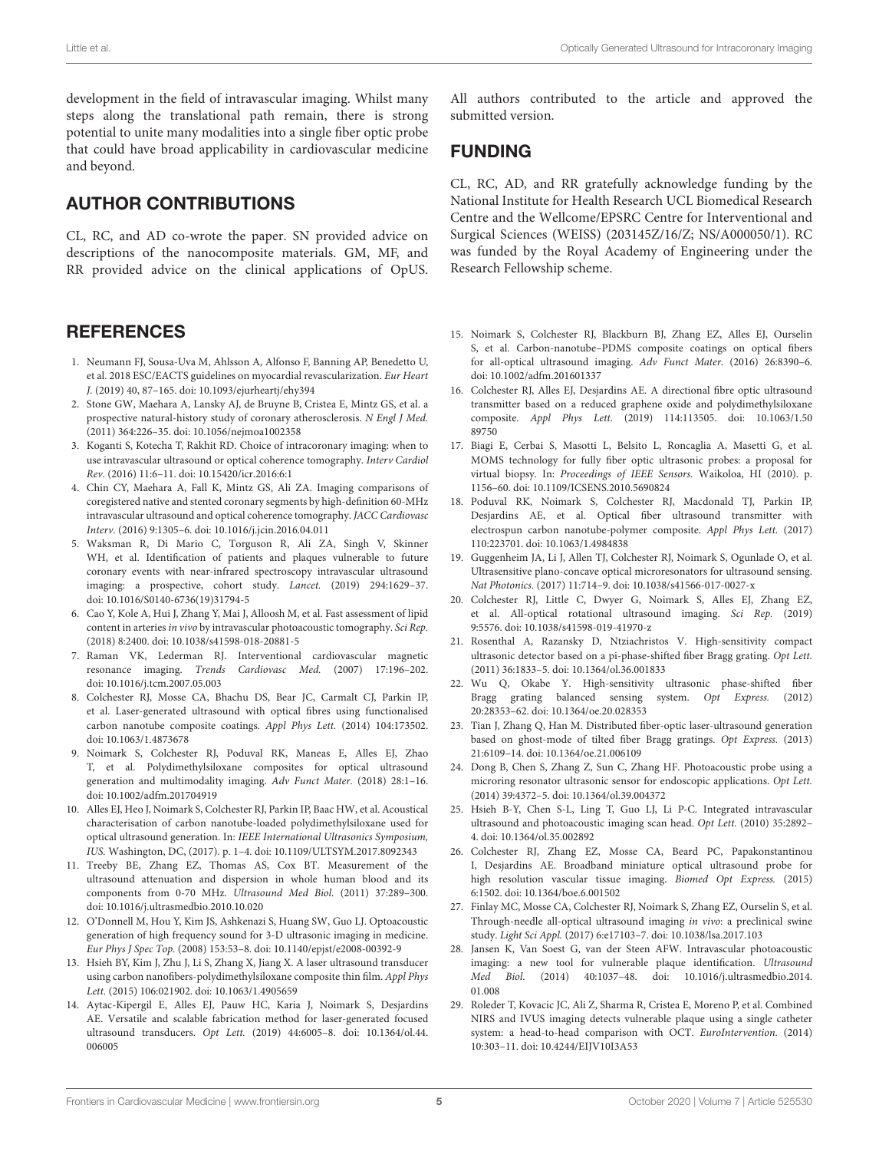development in the field of intravascular imaging. Whilst many steps along the translational path remain, there is strong potential to unite many modalities into a single fiber optic probe that could have broad applicability in cardiovascular medicine and beyond.

### AUTHOR CONTRIBUTIONS

CL, RC, and AD co-wrote the paper. SN provided advice on descriptions of the nanocomposite materials. GM, MF, and RR provided advice on the clinical applications of OpUS.

### **REFERENCES**

- <span id="page-4-0"></span>1. Neumann FJ, Sousa-Uva M, Ahlsson A, Alfonso F, Banning AP, Benedetto U, et al. 2018 ESC/EACTS guidelines on myocardial revascularization. Eur Heart J. (2019) 40, 87–165. doi: [10.1093/ejurheartj/ehy394](https://doi.org/10.1093/ejurheartj/ehy394)
- <span id="page-4-1"></span>2. Stone GW, Maehara A, Lansky AJ, de Bruyne B, Cristea E, Mintz GS, et al. a prospective natural-history study of coronary atherosclerosis. N Engl J Med. (2011) 364:226–35. doi: [10.1056/nejmoa1002358](https://doi.org/10.1056/nejmoa1002358)
- <span id="page-4-2"></span>3. Koganti S, Kotecha T, Rakhit RD. Choice of intracoronary imaging: when to use intravascular ultrasound or optical coherence tomography. Interv Cardiol Rev. (2016) 11:6–11. doi: [10.15420/icr.2016:6:1](https://doi.org/10.15420/icr.2016:6:1)
- <span id="page-4-3"></span>4. Chin CY, Maehara A, Fall K, Mintz GS, Ali ZA. Imaging comparisons of coregistered native and stented coronary segments by high-definition 60-MHz intravascular ultrasound and optical coherence tomography. JACC Cardiovasc Interv. (2016) 9:1305–6. doi: [10.1016/j.jcin.2016.04.011](https://doi.org/10.1016/j.jcin.2016.04.011)
- <span id="page-4-4"></span>5. Waksman R, Di Mario C, Torguson R, Ali ZA, Singh V, Skinner WH, et al. Identification of patients and plaques vulnerable to future coronary events with near-infrared spectroscopy intravascular ultrasound imaging: a prospective, cohort study. Lancet. (2019) 294:1629–37. doi: [10.1016/S0140-6736\(19\)31794-5](https://doi.org/10.1016/S0140-6736(19)31794-5)
- <span id="page-4-5"></span>6. Cao Y, Kole A, Hui J, Zhang Y, Mai J, Alloosh M, et al. Fast assessment of lipid content in arteries in vivo by intravascular photoacoustic tomography. Sci Rep. (2018) 8:2400. doi: [10.1038/s41598-018-20881-5](https://doi.org/10.1038/s41598-018-20881-5)
- <span id="page-4-6"></span>7. Raman VK, Lederman RJ. Interventional cardiovascular magnetic resonance imaging. Trends Cardiovasc Med. (2007) 17:196–202. doi: [10.1016/j.tcm.2007.05.003](https://doi.org/10.1016/j.tcm.2007.05.003)
- <span id="page-4-7"></span>8. Colchester RJ, Mosse CA, Bhachu DS, Bear JC, Carmalt CJ, Parkin IP, et al. Laser-generated ultrasound with optical fibres using functionalised carbon nanotube composite coatings. Appl Phys Lett. (2014) 104:173502. doi: [10.1063/1.4873678](https://doi.org/10.1063/1.4873678)
- <span id="page-4-8"></span>9. Noimark S, Colchester RJ, Poduval RK, Maneas E, Alles EJ, Zhao T, et al. Polydimethylsiloxane composites for optical ultrasound generation and multimodality imaging. Adv Funct Mater. (2018) 28:1–16. doi: [10.1002/adfm.201704919](https://doi.org/10.1002/adfm.201704919)
- <span id="page-4-9"></span>10. Alles EJ, Heo J, Noimark S, Colchester RJ, Parkin IP, Baac HW, et al. Acoustical characterisation of carbon nanotube-loaded polydimethylsiloxane used for optical ultrasound generation. In: IEEE International Ultrasonics Symposium, IUS. Washington, DC, (2017). p. 1–4. doi: [10.1109/ULTSYM.2017.8092343](https://doi.org/10.1109/ULTSYM.2017.8092343)
- <span id="page-4-10"></span>11. Treeby BE, Zhang EZ, Thomas AS, Cox BT. Measurement of the ultrasound attenuation and dispersion in whole human blood and its components from 0-70 MHz. Ultrasound Med Biol. (2011) 37:289–300. doi: [10.1016/j.ultrasmedbio.2010.10.020](https://doi.org/10.1016/j.ultrasmedbio.2010.10.020)
- <span id="page-4-11"></span>12. O'Donnell M, Hou Y, Kim JS, Ashkenazi S, Huang SW, Guo LJ. Optoacoustic generation of high frequency sound for 3-D ultrasonic imaging in medicine. Eur Phys J Spec Top. (2008) 153:53–8. doi: [10.1140/epjst/e2008-00392-9](https://doi.org/10.1140/epjst/e2008-00392-9)
- <span id="page-4-12"></span>13. Hsieh BY, Kim J, Zhu J, Li S, Zhang X, Jiang X. A laser ultrasound transducer using carbon nanofibers-polydimethylsiloxane composite thin film. Appl Phys Lett. (2015) 106:021902. doi: [10.1063/1.4905659](https://doi.org/10.1063/1.4905659)
- <span id="page-4-13"></span>14. Aytac-Kipergil E, Alles EJ, Pauw HC, Karia J, Noimark S, Desjardins AE. Versatile and scalable fabrication method for laser-generated focused ultrasound transducers. Opt Lett. [\(2019\) 44:6005–8. doi: 10.1364/ol.44.](https://doi.org/10.1364/ol.44.006005) 006005

All authors contributed to the article and approved the submitted version.

### FUNDING

CL, RC, AD, and RR gratefully acknowledge funding by the National Institute for Health Research UCL Biomedical Research Centre and the Wellcome/EPSRC Centre for Interventional and Surgical Sciences (WEISS) (203145Z/16/Z; NS/A000050/1). RC was funded by the Royal Academy of Engineering under the Research Fellowship scheme.

- <span id="page-4-14"></span>15. Noimark S, Colchester RJ, Blackburn BJ, Zhang EZ, Alles EJ, Ourselin S, et al. Carbon-nanotube–PDMS composite coatings on optical fibers for all-optical ultrasound imaging. Adv Funct Mater. (2016) 26:8390–6. doi: [10.1002/adfm.201601337](https://doi.org/10.1002/adfm.201601337)
- <span id="page-4-15"></span>16. Colchester RJ, Alles EJ, Desjardins AE. A directional fibre optic ultrasound transmitter based on a reduced graphene oxide and polydimethylsiloxane composite. Appl Phys Lett. [\(2019\) 114:113505. doi: 10.1063/1.50](https://doi.org/10.1063/1.5089750) 89750
- <span id="page-4-16"></span>17. Biagi E, Cerbai S, Masotti L, Belsito L, Roncaglia A, Masetti G, et al. MOMS technology for fully fiber optic ultrasonic probes: a proposal for virtual biopsy. In: Proceedings of IEEE Sensors. Waikoloa, HI (2010). p. 1156–60. doi: [10.1109/ICSENS.2010.5690824](https://doi.org/10.1109/ICSENS.2010.5690824)
- <span id="page-4-17"></span>18. Poduval RK, Noimark S, Colchester RJ, Macdonald TJ, Parkin IP, Desjardins AE, et al. Optical fiber ultrasound transmitter with electrospun carbon nanotube-polymer composite. Appl Phys Lett. (2017) 110:223701. doi: [10.1063/1.4984838](https://doi.org/10.1063/1.4984838)
- <span id="page-4-18"></span>19. Guggenheim JA, Li J, Allen TJ, Colchester RJ, Noimark S, Ogunlade O, et al. Ultrasensitive plano-concave optical microresonators for ultrasound sensing. Nat Photonics. (2017) 11:714–9. doi: [10.1038/s41566-017-0027-x](https://doi.org/10.1038/s41566-017-0027-x)
- <span id="page-4-19"></span>20. Colchester RJ, Little C, Dwyer G, Noimark S, Alles EJ, Zhang EZ, et al. All-optical rotational ultrasound imaging. Sci Rep. (2019) 9:5576. doi: [10.1038/s41598-019-41970-z](https://doi.org/10.1038/s41598-019-41970-z)
- <span id="page-4-20"></span>21. Rosenthal A, Razansky D, Ntziachristos V. High-sensitivity compact ultrasonic detector based on a pi-phase-shifted fiber Bragg grating. Opt Lett. (2011) 36:1833–5. doi: [10.1364/ol.36.001833](https://doi.org/10.1364/ol.36.001833)
- 22. Wu Q, Okabe Y. High-sensitivity ultrasonic phase-shifted fiber Bragg grating balanced sensing system. Opt Express. (2012) 20:28353–62. doi: [10.1364/oe.20.028353](https://doi.org/10.1364/oe.20.028353)
- <span id="page-4-21"></span>23. Tian J, Zhang Q, Han M. Distributed fiber-optic laser-ultrasound generation based on ghost-mode of tilted fiber Bragg gratings. Opt Express. (2013) 21:6109–14. doi: [10.1364/oe.21.006109](https://doi.org/10.1364/oe.21.006109)
- <span id="page-4-22"></span>24. Dong B, Chen S, Zhang Z, Sun C, Zhang HF. Photoacoustic probe using a microring resonator ultrasonic sensor for endoscopic applications. Opt Lett. (2014) 39:4372–5. doi: [10.1364/ol.39.004372](https://doi.org/10.1364/ol.39.004372)
- <span id="page-4-23"></span>25. Hsieh B-Y, Chen S-L, Ling T, Guo LJ, Li P-C. Integrated intravascular ultrasound and photoacoustic imaging scan head. Opt Lett. (2010) 35:2892– 4. doi: [10.1364/ol.35.002892](https://doi.org/10.1364/ol.35.002892)
- <span id="page-4-24"></span>26. Colchester RJ, Zhang EZ, Mosse CA, Beard PC, Papakonstantinou I, Desjardins AE. Broadband miniature optical ultrasound probe for high resolution vascular tissue imaging. Biomed Opt Express. (2015) 6:1502. doi: [10.1364/boe.6.001502](https://doi.org/10.1364/boe.6.001502)
- <span id="page-4-25"></span>27. Finlay MC, Mosse CA, Colchester RJ, Noimark S, Zhang EZ, Ourselin S, et al. Through-needle all-optical ultrasound imaging in vivo: a preclinical swine study. Light Sci Appl. (2017) 6:e17103–7. doi: [10.1038/lsa.2017.103](https://doi.org/10.1038/lsa.2017.103)
- <span id="page-4-26"></span>28. Jansen K, Van Soest G, van der Steen AFW. Intravascular photoacoustic imaging: a new tool for vulnerable plaque identification. Ultrasound Med Biol. [\(2014\) 40:1037–48. doi: 10.1016/j.ultrasmedbio.2014.](https://doi.org/10.1016/j.ultrasmedbio.2014.01.008) 01.008
- <span id="page-4-27"></span>29. Roleder T, Kovacic JC, Ali Z, Sharma R, Cristea E, Moreno P, et al. Combined NIRS and IVUS imaging detects vulnerable plaque using a single catheter system: a head-to-head comparison with OCT. EuroIntervention. (2014) 10:303–11. doi: [10.4244/EIJV10I3A53](https://doi.org/10.4244/EIJV10I3A53)